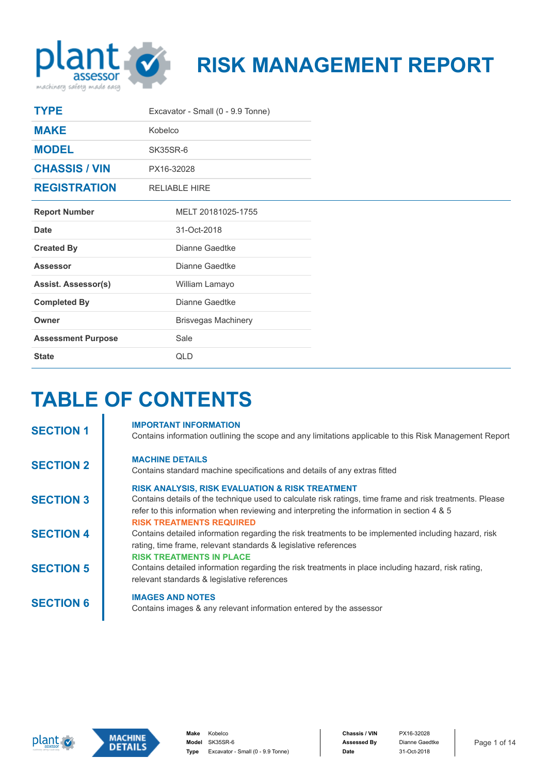

# **RISK MANAGEMENT REPORT**

| <b>TYPE</b>                | Excavator - Small (0 - 9.9 Tonne) |  |  |
|----------------------------|-----------------------------------|--|--|
| <b>MAKE</b>                | Kobelco                           |  |  |
| <b>MODEL</b>               | SK35SR-6                          |  |  |
| <b>CHASSIS / VIN</b>       | PX16-32028                        |  |  |
| <b>REGISTRATION</b>        | <b>RELIABLE HIRE</b>              |  |  |
| <b>Report Number</b>       | MELT 20181025-1755                |  |  |
| Date                       | 31-Oct-2018                       |  |  |
| <b>Created By</b>          | Dianne Gaedtke                    |  |  |
| <b>Assessor</b>            | Dianne Gaedtke                    |  |  |
| <b>Assist. Assessor(s)</b> | William Lamayo                    |  |  |
| <b>Completed By</b>        | Dianne Gaedtke                    |  |  |
| Owner                      | <b>Brisvegas Machinery</b>        |  |  |
| <b>Assessment Purpose</b>  | Sale                              |  |  |
| <b>State</b>               | <b>QLD</b>                        |  |  |

#### **TABLE OF CONTENTS** i.

| <b>SECTION 1</b> | <b>IMPORTANT INFORMATION</b><br>Contains information outlining the scope and any limitations applicable to this Risk Management Report                                                                                                                               |
|------------------|----------------------------------------------------------------------------------------------------------------------------------------------------------------------------------------------------------------------------------------------------------------------|
| <b>SECTION 2</b> | <b>MACHINE DETAILS</b><br>Contains standard machine specifications and details of any extras fitted                                                                                                                                                                  |
| <b>SECTION 3</b> | <b>RISK ANALYSIS, RISK EVALUATION &amp; RISK TREATMENT</b><br>Contains details of the technique used to calculate risk ratings, time frame and risk treatments. Please<br>refer to this information when reviewing and interpreting the information in section 4 & 5 |
| <b>SECTION 4</b> | <b>RISK TREATMENTS REQUIRED</b><br>Contains detailed information regarding the risk treatments to be implemented including hazard, risk<br>rating, time frame, relevant standards & legislative references                                                           |
| <b>SECTION 5</b> | <b>RISK TREATMENTS IN PLACE</b><br>Contains detailed information regarding the risk treatments in place including hazard, risk rating,<br>relevant standards & legislative references                                                                                |
| <b>SECTION 6</b> | <b>IMAGES AND NOTES</b><br>Contains images & any relevant information entered by the assessor                                                                                                                                                                        |



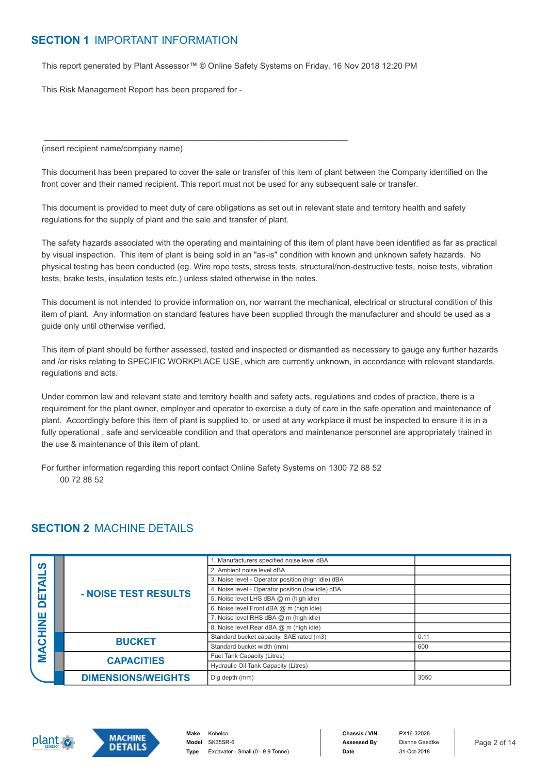#### **SECTION 1** IMPORTANT INFORMATION

This report generated by Plant Assessor™ © Online Safety Systems on Friday, 16 Nov 2018 12:20 PM

 $\mathcal{L}_\mathcal{L}$  , and the set of the set of the set of the set of the set of the set of the set of the set of the set of the set

This Risk Management Report has been prepared for -

(insert recipient name/company name)

This document has been prepared to cover the sale or transfer of this item of plant between the Company identified on the front cover and their named recipient. This report must not be used for any subsequent sale or transfer.

This document is provided to meet duty of care obligations as set out in relevant state and territory health and safety regulations for the supply of plant and the sale and transfer of plant.

The safety hazards associated with the operating and maintaining of this item of plant have been identified as far as practical by visual inspection. This item of plant is being sold in an "as-is" condition with known and unknown safety hazards. No physical testing has been conducted (eg. Wire rope tests, stress tests, structural/non-destructive tests, noise tests, vibration tests, brake tests, insulation tests etc.) unless stated otherwise in the notes.

This document is not intended to provide information on, nor warrant the mechanical, electrical or structural condition of this item of plant. Any information on standard features have been supplied through the manufacturer and should be used as a guide only until otherwise verified.

This item of plant should be further assessed, tested and inspected or dismantled as necessary to gauge any further hazards and /or risks relating to SPECIFIC WORKPLACE USE, which are currently unknown, in accordance with relevant standards, regulations and acts.

Under common law and relevant state and territory health and safety acts, regulations and codes of practice, there is a requirement for the plant owner, employer and operator to exercise a duty of care in the safe operation and maintenance of plant. Accordingly before this item of plant is supplied to, or used at any workplace it must be inspected to ensure it is in a fully operational, safe and serviceable condition and that operators and maintenance personnel are appropriately trained in the use & maintenance of this item of plant.

For further information regarding this report contact Online Safety Systems on 1300 72 88 52 00 72 88 52

#### **SECTION 2** MACHINE DETAILS

| <b>SC</b> |  |                           | 1. Manufacturers specified noise level dBA         |      |
|-----------|--|---------------------------|----------------------------------------------------|------|
|           |  |                           | 2. Ambient noise level dBA                         |      |
| ৰ         |  |                           | 3. Noise level - Operator position (high idle) dBA |      |
|           |  | - NOISE TEST RESULTS      | 4. Noise level - Operator position (low idle) dBA  |      |
| ш         |  |                           | 5. Noise level LHS dBA @ m (high idle)             |      |
| ⊆         |  |                           | 6. Noise level Front dBA @ m (high idle)           |      |
| ш<br>Z    |  |                           | 7. Noise level RHS dBA @ m (high idle)             |      |
|           |  |                           | 8. Noise level Rear dBA @ m (high idle)            |      |
| ပ         |  | <b>BUCKET</b>             | Standard bucket capacity, SAE rated (m3)           | 0.11 |
|           |  |                           | Standard bucket width (mm)                         | 600  |
| Š         |  | <b>CAPACITIES</b>         | Fuel Tank Capacity (Litres)                        |      |
|           |  |                           | Hydraulic Oil Tank Capacity (Litres)               |      |
|           |  | <b>DIMENSIONS/WEIGHTS</b> | Dig depth (mm)                                     | 3050 |



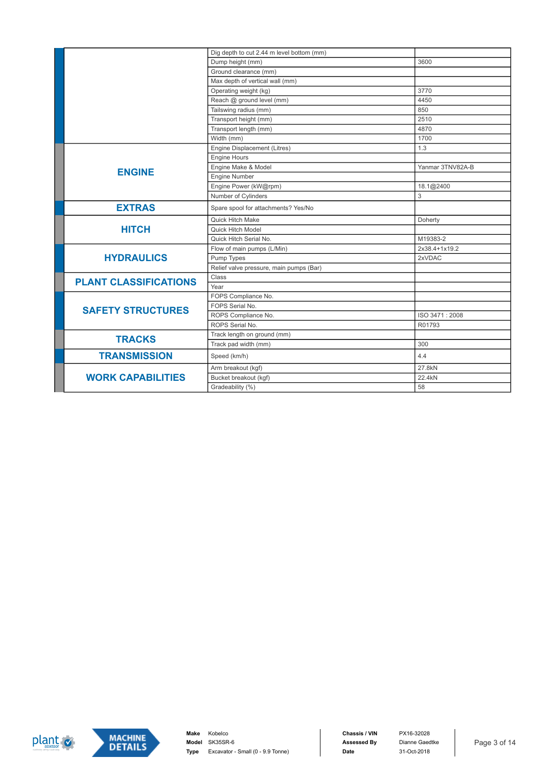|                              | Dig depth to cut 2.44 m level bottom (mm) |                  |
|------------------------------|-------------------------------------------|------------------|
|                              | Dump height (mm)                          | 3600             |
|                              | Ground clearance (mm)                     |                  |
|                              | Max depth of vertical wall (mm)           |                  |
|                              | Operating weight (kg)                     | 3770             |
|                              | Reach @ ground level (mm)                 | 4450             |
|                              | Tailswing radius (mm)                     | 850              |
|                              | Transport height (mm)                     | 2510             |
|                              | Transport length (mm)                     | 4870             |
|                              | Width (mm)                                | 1700             |
|                              | Engine Displacement (Litres)              | 1.3              |
|                              | Engine Hours                              |                  |
| <b>ENGINE</b>                | Engine Make & Model                       | Yanmar 3TNV82A-B |
|                              | <b>Engine Number</b>                      |                  |
|                              | Engine Power (kW@rpm)                     | 18.1@2400        |
|                              | Number of Cylinders                       | 3                |
| <b>EXTRAS</b>                | Spare spool for attachments? Yes/No       |                  |
|                              | Quick Hitch Make                          | Doherty          |
| <b>HITCH</b>                 | Quick Hitch Model                         |                  |
|                              | Quick Hitch Serial No.                    | M19383-2         |
|                              | Flow of main pumps (L/Min)                | 2x38.4+1x19.2    |
| <b>HYDRAULICS</b>            | Pump Types                                | 2xVDAC           |
|                              | Relief valve pressure, main pumps (Bar)   |                  |
| <b>PLANT CLASSIFICATIONS</b> | Class                                     |                  |
|                              | Year                                      |                  |
|                              | FOPS Compliance No.                       |                  |
| <b>SAFETY STRUCTURES</b>     | FOPS Serial No.                           |                  |
|                              | ROPS Compliance No.                       | ISO 3471:2008    |
|                              | ROPS Serial No.                           | R01793           |
| <b>TRACKS</b>                | Track length on ground (mm)               |                  |
|                              | Track pad width (mm)                      | 300              |
| <b>TRANSMISSION</b>          | Speed (km/h)                              | 4.4              |
|                              | Arm breakout (kgf)                        | 27.8kN           |
| <b>WORK CAPABILITIES</b>     | Bucket breakout (kgf)                     | 22.4kN           |
|                              | Gradeability (%)                          | 58               |



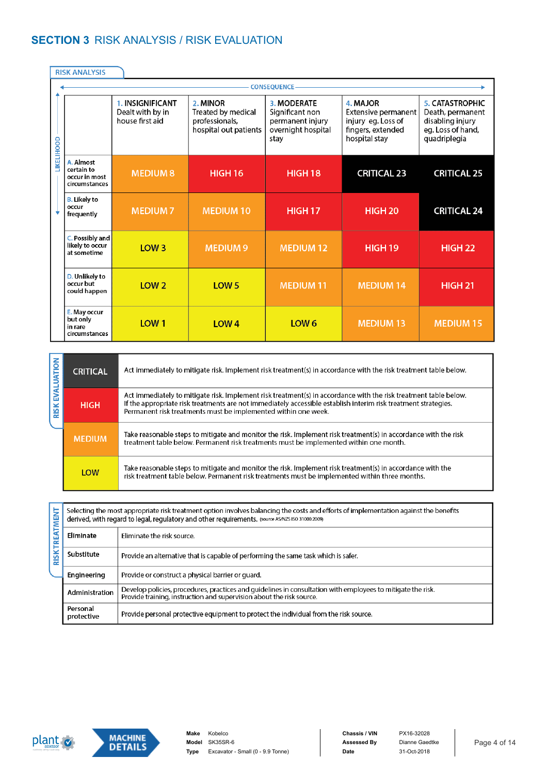## **SECTION 3** RISK ANALYSIS / RISK EVALUATION

|                  | <b>RISK ANALYSIS</b>                                      |                  |                                                                           |                                                                                  |                                                                                             |                                                                                                     |
|------------------|-----------------------------------------------------------|------------------|---------------------------------------------------------------------------|----------------------------------------------------------------------------------|---------------------------------------------------------------------------------------------|-----------------------------------------------------------------------------------------------------|
|                  |                                                           |                  |                                                                           | <b>CONSEQUENCE</b>                                                               |                                                                                             |                                                                                                     |
| <b>IKELIHOOD</b> | 1. INSIGNIFICANT<br>Dealt with by in<br>house first aid   |                  | 2. MINOR<br>Treated by medical<br>professionals,<br>hospital out patients | 3. MODERATE<br>Significant non<br>permanent injury<br>overnight hospital<br>stay | 4. MAJOR<br>Extensive permanent<br>injury eg. Loss of<br>fingers, extended<br>hospital stay | <b>5. CATASTROPHIC</b><br>Death, permanent<br>disabling injury<br>eg. Loss of hand,<br>quadriplegia |
|                  | A. Almost<br>certain to<br>occur in most<br>circumstances | <b>MEDIUM 8</b>  | <b>HIGH 16</b>                                                            | <b>HIGH 18</b>                                                                   | <b>CRITICAL 23</b>                                                                          | <b>CRITICAL 25</b>                                                                                  |
|                  | <b>B.</b> Likely to<br>occur<br>frequently                | <b>MEDIUM7</b>   | <b>MEDIUM10</b>                                                           | <b>HIGH 17</b>                                                                   | <b>HIGH 20</b>                                                                              | <b>CRITICAL 24</b>                                                                                  |
|                  | C. Possibly and<br>likely to occur<br>at sometime         | LOW <sub>3</sub> | <b>MEDIUM 9</b>                                                           | <b>MEDIUM 12</b>                                                                 | HIGH <sub>19</sub>                                                                          | <b>HIGH 22</b>                                                                                      |
|                  | D. Unlikely to<br>occur but<br>could happen               | LOW <sub>2</sub> | LOW <sub>5</sub>                                                          | <b>MEDIUM 11</b>                                                                 | <b>MEDIUM 14</b>                                                                            | <b>HIGH 21</b>                                                                                      |
|                  | E. May occur<br>but only<br>in rare<br>circumstances      | LOW <sub>1</sub> | LOW <sub>4</sub>                                                          | LOW <sub>6</sub>                                                                 | <b>MEDIUM 13</b>                                                                            | <b>MEDIUM 15</b>                                                                                    |

| <b>UATION</b> | <b>CRITICAL</b> | Act immediately to mitigate risk. Implement risk treatment(s) in accordance with the risk treatment table below.                                                                                                                                                                                     |
|---------------|-----------------|------------------------------------------------------------------------------------------------------------------------------------------------------------------------------------------------------------------------------------------------------------------------------------------------------|
| <b>SIRK</b>   | <b>HIGH</b>     | Act immediately to mitigate risk. Implement risk treatment(s) in accordance with the risk treatment table below.<br>If the appropriate risk treatments are not immediately accessible establish interim risk treatment strategies.<br>Permanent risk treatments must be implemented within one week. |
|               | <b>MEDIUM</b>   | Take reasonable steps to mitigate and monitor the risk. Implement risk treatment(s) in accordance with the risk<br>treatment table below. Permanent risk treatments must be implemented within one month.                                                                                            |
|               | LOW             | Take reasonable steps to mitigate and monitor the risk. Implement risk treatment(s) in accordance with the<br>risk treatment table below. Permanent risk treatments must be implemented within three months.                                                                                         |

RISKTREATMENT

|                                                                  |                                         | Selecting the most appropriate risk treatment option involves balancing the costs and efforts of implementation against the benefits<br>derived, with regard to legal, regulatory and other requirements. (source AS/NZS ISO 31000:2009) |  |  |  |  |
|------------------------------------------------------------------|-----------------------------------------|------------------------------------------------------------------------------------------------------------------------------------------------------------------------------------------------------------------------------------------|--|--|--|--|
|                                                                  | Eliminate<br>Eliminate the risk source. |                                                                                                                                                                                                                                          |  |  |  |  |
|                                                                  | Substitute                              | Provide an alternative that is capable of performing the same task which is safer.                                                                                                                                                       |  |  |  |  |
| Provide or construct a physical barrier or quard.<br>Engineering |                                         |                                                                                                                                                                                                                                          |  |  |  |  |
|                                                                  | Administration                          | Develop policies, procedures, practices and quidelines in consultation with employees to mitigate the risk.<br>Provide training, instruction and supervision about the risk source.                                                      |  |  |  |  |
|                                                                  | Personal<br>protective                  | Provide personal protective equipment to protect the individual from the risk source.                                                                                                                                                    |  |  |  |  |



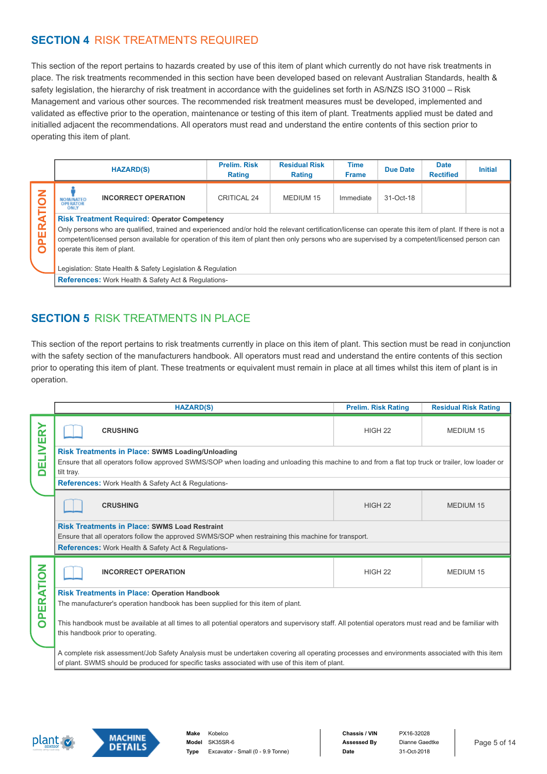### **SECTION 4** RISK TREATMENTS REQUIRED

This section of the report pertains to hazards created by use of this item of plant which currently do not have risk treatments in place. The risk treatments recommended in this section have been developed based on relevant Australian Standards, health & safety legislation, the hierarchy of risk treatment in accordance with the guidelines set forth in AS/NZS ISO 31000 – Risk Management and various other sources. The recommended risk treatment measures must be developed, implemented and validated as effective prior to the operation, maintenance or testing of this item of plant. Treatments applied must be dated and initialled adjacent the recommendations. All operators must read and understand the entire contents of this section prior to operating this item of plant.

|                      |                                                                                                                                                                                                                                                                                                                                                                                                                                                                  | <b>HAZARD(S)</b>                                           | <b>Prelim, Risk</b><br>Rating | <b>Residual Risk</b><br><b>Rating</b> | <b>Time</b><br><b>Frame</b> | <b>Due Date</b> | <b>Date</b><br><b>Rectified</b> | <b>Initial</b> |
|----------------------|------------------------------------------------------------------------------------------------------------------------------------------------------------------------------------------------------------------------------------------------------------------------------------------------------------------------------------------------------------------------------------------------------------------------------------------------------------------|------------------------------------------------------------|-------------------------------|---------------------------------------|-----------------------------|-----------------|---------------------------------|----------------|
| z<br>ь               | <b>NOMINATED</b><br><b>OPERATOR</b><br>ONLY                                                                                                                                                                                                                                                                                                                                                                                                                      | <b>INCORRECT OPERATION</b>                                 | CRITICAL 24                   | MEDIUM 15                             | Immediate                   | 31-Oct-18       |                                 |                |
| ERA<br>$\Omega$<br>O | <b>Risk Treatment Required: Operator Competency</b><br>Only persons who are qualified, trained and experienced and/or hold the relevant certification/license can operate this item of plant. If there is not a<br>competent/licensed person available for operation of this item of plant then only persons who are supervised by a competent/licensed person can<br>operate this item of plant.<br>Legislation: State Health & Safety Legislation & Regulation |                                                            |                               |                                       |                             |                 |                                 |                |
|                      |                                                                                                                                                                                                                                                                                                                                                                                                                                                                  | <b>References:</b> Work Health & Safety Act & Regulations- |                               |                                       |                             |                 |                                 |                |

### **SECTION 5 RISK TREATMENTS IN PLACE**

This section of the report pertains to risk treatments currently in place on this item of plant. This section must be read in conjunction with the safety section of the manufacturers handbook. All operators must read and understand the entire contents of this section prior to operating this item of plant. These treatments or equivalent must remain in place at all times whilst this item of plant is in operation.

|               | <b>HAZARD(S)</b>                                                                                                                                                                                                                                 | <b>Prelim. Risk Rating</b> | <b>Residual Risk Rating</b> |  |  |
|---------------|--------------------------------------------------------------------------------------------------------------------------------------------------------------------------------------------------------------------------------------------------|----------------------------|-----------------------------|--|--|
| <b>IVERY</b>  | <b>CRUSHING</b>                                                                                                                                                                                                                                  | HIGH <sub>22</sub>         | <b>MEDIUM 15</b>            |  |  |
| 뭅<br>$\Box$   | <b>Risk Treatments in Place: SWMS Loading/Unloading</b><br>Ensure that all operators follow approved SWMS/SOP when loading and unloading this machine to and from a flat top truck or trailer, low loader or<br>tilt tray.                       |                            |                             |  |  |
|               | <b>References:</b> Work Health & Safety Act & Regulations-                                                                                                                                                                                       |                            |                             |  |  |
|               | <b>CRUSHING</b>                                                                                                                                                                                                                                  | HIGH <sub>22</sub>         | <b>MEDIUM 15</b>            |  |  |
|               | <b>Risk Treatments in Place: SWMS Load Restraint</b>                                                                                                                                                                                             |                            |                             |  |  |
|               | Ensure that all operators follow the approved SWMS/SOP when restraining this machine for transport.                                                                                                                                              |                            |                             |  |  |
|               | <b>References:</b> Work Health & Safety Act & Regulations-                                                                                                                                                                                       |                            |                             |  |  |
| <b>RATION</b> | <b>INCORRECT OPERATION</b>                                                                                                                                                                                                                       | HIGH <sub>22</sub>         | <b>MEDIUM 15</b>            |  |  |
|               | <b>Risk Treatments in Place: Operation Handbook</b>                                                                                                                                                                                              |                            |                             |  |  |
| 画<br>Δ.       | The manufacturer's operation handbook has been supplied for this item of plant.                                                                                                                                                                  |                            |                             |  |  |
| O             | This handbook must be available at all times to all potential operators and supervisory staff. All potential operators must read and be familiar with<br>this handbook prior to operating.                                                       |                            |                             |  |  |
|               | A complete risk assessment/Job Safety Analysis must be undertaken covering all operating processes and environments associated with this item<br>of plant. SWMS should be produced for specific tasks associated with use of this item of plant. |                            |                             |  |  |



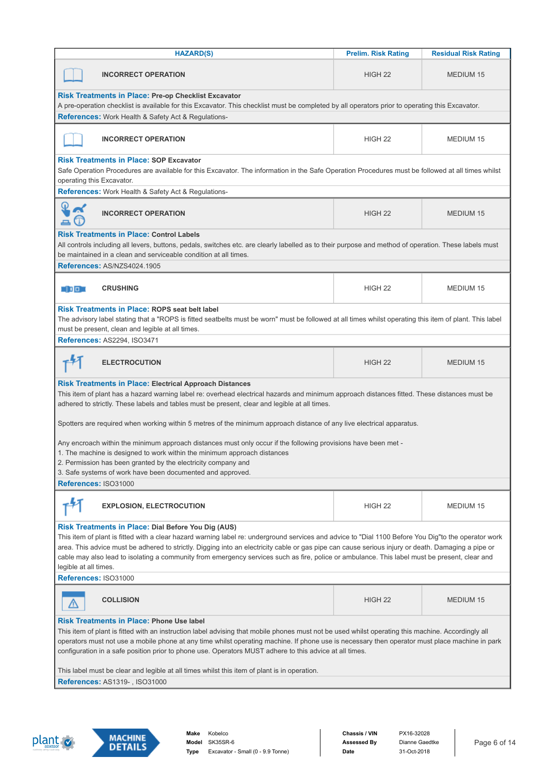| <b>HAZARD(S)</b>                                                                                                                                                                                                                                                                                                                                                                                                                                                                                                                                                           | <b>Residual Risk Rating</b> |                  |  |  |  |  |
|----------------------------------------------------------------------------------------------------------------------------------------------------------------------------------------------------------------------------------------------------------------------------------------------------------------------------------------------------------------------------------------------------------------------------------------------------------------------------------------------------------------------------------------------------------------------------|-----------------------------|------------------|--|--|--|--|
| <b>INCORRECT OPERATION</b>                                                                                                                                                                                                                                                                                                                                                                                                                                                                                                                                                 | HIGH <sub>22</sub>          | MEDIUM 15        |  |  |  |  |
| <b>Risk Treatments in Place: Pre-op Checklist Excavator</b><br>A pre-operation checklist is available for this Excavator. This checklist must be completed by all operators prior to operating this Excavator.<br><b>References:</b> Work Health & Safety Act & Regulations-                                                                                                                                                                                                                                                                                               |                             |                  |  |  |  |  |
| <b>INCORRECT OPERATION</b>                                                                                                                                                                                                                                                                                                                                                                                                                                                                                                                                                 | HIGH <sub>22</sub>          | <b>MEDIUM 15</b> |  |  |  |  |
| <b>Risk Treatments in Place: SOP Excavator</b><br>Safe Operation Procedures are available for this Excavator. The information in the Safe Operation Procedures must be followed at all times whilst<br>operating this Excavator.                                                                                                                                                                                                                                                                                                                                           |                             |                  |  |  |  |  |
| References: Work Health & Safety Act & Regulations-                                                                                                                                                                                                                                                                                                                                                                                                                                                                                                                        |                             |                  |  |  |  |  |
| <b>INCORRECT OPERATION</b>                                                                                                                                                                                                                                                                                                                                                                                                                                                                                                                                                 | HIGH <sub>22</sub>          | <b>MEDIUM 15</b> |  |  |  |  |
| <b>Risk Treatments in Place: Control Labels</b><br>All controls including all levers, buttons, pedals, switches etc. are clearly labelled as to their purpose and method of operation. These labels must<br>be maintained in a clean and serviceable condition at all times.                                                                                                                                                                                                                                                                                               |                             |                  |  |  |  |  |
| References: AS/NZS4024.1905                                                                                                                                                                                                                                                                                                                                                                                                                                                                                                                                                |                             |                  |  |  |  |  |
| <b>CRUSHING</b><br>30 D D 3                                                                                                                                                                                                                                                                                                                                                                                                                                                                                                                                                | HIGH <sub>22</sub>          | MEDIUM 15        |  |  |  |  |
| <b>Risk Treatments in Place: ROPS seat belt label</b><br>The advisory label stating that a "ROPS is fitted seatbelts must be worn" must be followed at all times whilst operating this item of plant. This label<br>must be present, clean and legible at all times.<br>References: AS2294, ISO3471                                                                                                                                                                                                                                                                        |                             |                  |  |  |  |  |
| <b>ELECTROCUTION</b>                                                                                                                                                                                                                                                                                                                                                                                                                                                                                                                                                       | HIGH <sub>22</sub>          | <b>MEDIUM 15</b> |  |  |  |  |
| <b>Risk Treatments in Place: Electrical Approach Distances</b><br>This item of plant has a hazard warning label re: overhead electrical hazards and minimum approach distances fitted. These distances must be<br>adhered to strictly. These labels and tables must be present, clear and legible at all times.<br>Spotters are required when working within 5 metres of the minimum approach distance of any live electrical apparatus.<br>Any encroach within the minimum approach distances must only occur if the following provisions have been met -                 |                             |                  |  |  |  |  |
| 1. The machine is designed to work within the minimum approach distances<br>2. Permission has been granted by the electricity company and<br>3. Safe systems of work have been documented and approved.                                                                                                                                                                                                                                                                                                                                                                    |                             |                  |  |  |  |  |
| References: ISO31000                                                                                                                                                                                                                                                                                                                                                                                                                                                                                                                                                       |                             |                  |  |  |  |  |
| <b>EXPLOSION, ELECTROCUTION</b>                                                                                                                                                                                                                                                                                                                                                                                                                                                                                                                                            | HIGH <sub>22</sub>          | MEDIUM 15        |  |  |  |  |
| <b>Risk Treatments in Place: Dial Before You Dig (AUS)</b><br>This item of plant is fitted with a clear hazard warning label re: underground services and advice to "Dial 1100 Before You Dig"to the operator work<br>area. This advice must be adhered to strictly. Digging into an electricity cable or gas pipe can cause serious injury or death. Damaging a pipe or<br>cable may also lead to isolating a community from emergency services such as fire, police or ambulance. This label must be present, clear and<br>legible at all times.<br>References: ISO31000 |                             |                  |  |  |  |  |
|                                                                                                                                                                                                                                                                                                                                                                                                                                                                                                                                                                            |                             |                  |  |  |  |  |
| <b>COLLISION</b>                                                                                                                                                                                                                                                                                                                                                                                                                                                                                                                                                           | HIGH <sub>22</sub>          | MEDIUM 15        |  |  |  |  |
| <b>Risk Treatments in Place: Phone Use label</b><br>This item of plant is fitted with an instruction label advising that mobile phones must not be used whilst operating this machine. Accordingly all<br>operators must not use a mobile phone at any time whilst operating machine. If phone use is necessary then operator must place machine in park<br>configuration in a safe position prior to phone use. Operators MUST adhere to this advice at all times.                                                                                                        |                             |                  |  |  |  |  |
| This label must be clear and legible at all times whilst this item of plant is in operation.<br><b>References: AS1319-, ISO31000</b>                                                                                                                                                                                                                                                                                                                                                                                                                                       |                             |                  |  |  |  |  |
|                                                                                                                                                                                                                                                                                                                                                                                                                                                                                                                                                                            |                             |                  |  |  |  |  |



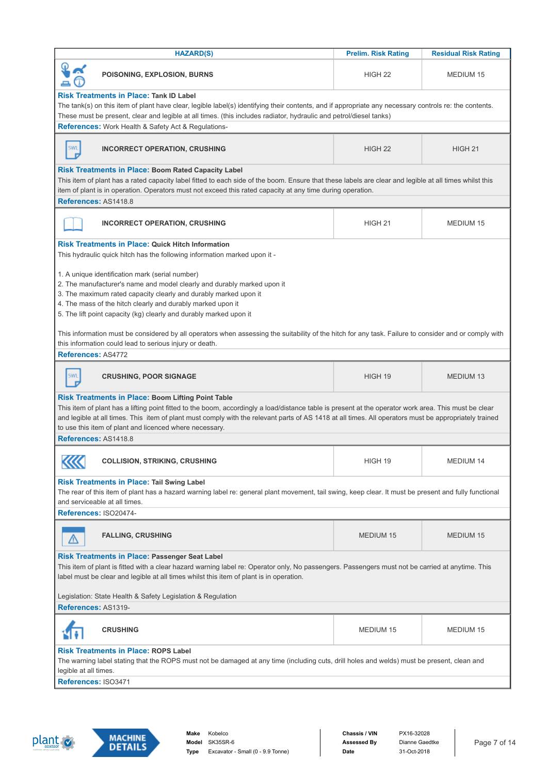| <b>HAZARD(S)</b>                                                                                                                                                                                                                                                                                                                                                                                                                       | <b>Prelim. Risk Rating</b> | <b>Residual Risk Rating</b> |  |  |  |  |
|----------------------------------------------------------------------------------------------------------------------------------------------------------------------------------------------------------------------------------------------------------------------------------------------------------------------------------------------------------------------------------------------------------------------------------------|----------------------------|-----------------------------|--|--|--|--|
| POISONING, EXPLOSION, BURNS                                                                                                                                                                                                                                                                                                                                                                                                            | HIGH <sub>22</sub>         | MEDIUM 15                   |  |  |  |  |
| <b>Risk Treatments in Place: Tank ID Label</b><br>The tank(s) on this item of plant have clear, legible label(s) identifying their contents, and if appropriate any necessary controls re: the contents.<br>These must be present, clear and legible at all times. (this includes radiator, hydraulic and petrol/diesel tanks)                                                                                                         |                            |                             |  |  |  |  |
| References: Work Health & Safety Act & Regulations-                                                                                                                                                                                                                                                                                                                                                                                    |                            |                             |  |  |  |  |
| <b>SWL</b><br><b>INCORRECT OPERATION, CRUSHING</b>                                                                                                                                                                                                                                                                                                                                                                                     | HIGH <sub>22</sub>         | HIGH <sub>21</sub>          |  |  |  |  |
| <b>Risk Treatments in Place: Boom Rated Capacity Label</b><br>This item of plant has a rated capacity label fitted to each side of the boom. Ensure that these labels are clear and legible at all times whilst this<br>item of plant is in operation. Operators must not exceed this rated capacity at any time during operation.<br>References: AS1418.8                                                                             |                            |                             |  |  |  |  |
| <b>INCORRECT OPERATION, CRUSHING</b>                                                                                                                                                                                                                                                                                                                                                                                                   | HIGH <sub>21</sub>         | <b>MEDIUM 15</b>            |  |  |  |  |
| <b>Risk Treatments in Place: Quick Hitch Information</b><br>This hydraulic quick hitch has the following information marked upon it -                                                                                                                                                                                                                                                                                                  |                            |                             |  |  |  |  |
| 1. A unique identification mark (serial number)<br>2. The manufacturer's name and model clearly and durably marked upon it<br>3. The maximum rated capacity clearly and durably marked upon it<br>4. The mass of the hitch clearly and durably marked upon it<br>5. The lift point capacity (kg) clearly and durably marked upon it                                                                                                    |                            |                             |  |  |  |  |
| This information must be considered by all operators when assessing the suitability of the hitch for any task. Failure to consider and or comply with<br>this information could lead to serious injury or death.                                                                                                                                                                                                                       |                            |                             |  |  |  |  |
| References: AS4772                                                                                                                                                                                                                                                                                                                                                                                                                     |                            |                             |  |  |  |  |
| <b>SWI</b><br><b>CRUSHING, POOR SIGNAGE</b>                                                                                                                                                                                                                                                                                                                                                                                            | HIGH 19                    | <b>MEDIUM 13</b>            |  |  |  |  |
| <b>Risk Treatments in Place: Boom Lifting Point Table</b><br>This item of plant has a lifting point fitted to the boom, accordingly a load/distance table is present at the operator work area. This must be clear<br>and legible at all times. This item of plant must comply with the relevant parts of AS 1418 at all times. All operators must be appropriately trained<br>to use this item of plant and licenced where necessary. |                            |                             |  |  |  |  |
|                                                                                                                                                                                                                                                                                                                                                                                                                                        | References: AS1418.8       |                             |  |  |  |  |
| ----<br><b>COLLISION, STRIKING, CRUSHING</b><br>⋘                                                                                                                                                                                                                                                                                                                                                                                      | HIGH 19                    | <b>MEDIUM 14</b>            |  |  |  |  |
| <b>Risk Treatments in Place: Tail Swing Label</b><br>The rear of this item of plant has a hazard warning label re: general plant movement, tail swing, keep clear. It must be present and fully functional<br>and serviceable at all times.                                                                                                                                                                                            |                            |                             |  |  |  |  |
| References: ISO20474-                                                                                                                                                                                                                                                                                                                                                                                                                  |                            |                             |  |  |  |  |
| <b>FALLING, CRUSHING</b>                                                                                                                                                                                                                                                                                                                                                                                                               | <b>MEDIUM 15</b>           | <b>MEDIUM 15</b>            |  |  |  |  |
| <b>Risk Treatments in Place: Passenger Seat Label</b><br>This item of plant is fitted with a clear hazard warning label re: Operator only, No passengers. Passengers must not be carried at anytime. This<br>label must be clear and legible at all times whilst this item of plant is in operation.                                                                                                                                   |                            |                             |  |  |  |  |
| Legislation: State Health & Safety Legislation & Regulation<br>References: AS1319-                                                                                                                                                                                                                                                                                                                                                     |                            |                             |  |  |  |  |
| <b>CRUSHING</b>                                                                                                                                                                                                                                                                                                                                                                                                                        | <b>MEDIUM 15</b>           | <b>MEDIUM 15</b>            |  |  |  |  |
| <b>Risk Treatments in Place: ROPS Label</b>                                                                                                                                                                                                                                                                                                                                                                                            |                            |                             |  |  |  |  |
| The warning label stating that the ROPS must not be damaged at any time (including cuts, drill holes and welds) must be present, clean and<br>legible at all times.                                                                                                                                                                                                                                                                    |                            |                             |  |  |  |  |
| References: ISO3471                                                                                                                                                                                                                                                                                                                                                                                                                    |                            |                             |  |  |  |  |



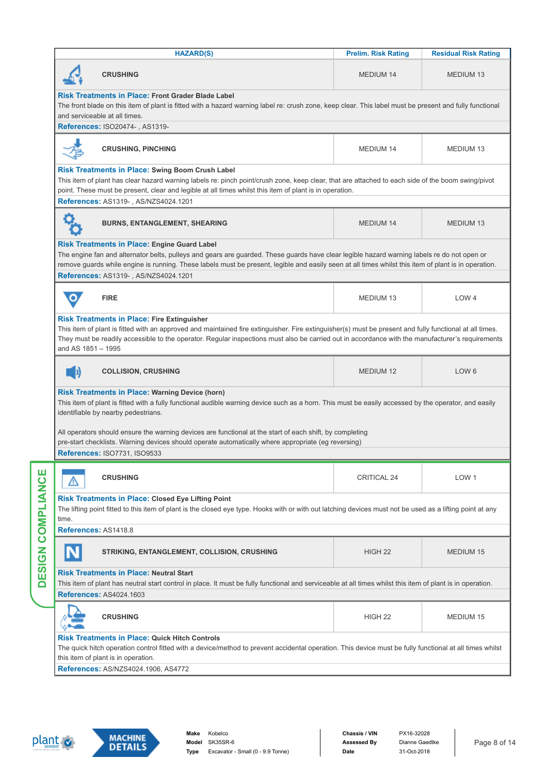|       | <b>HAZARD(S)</b>                                                                                                                                                                                                                                                                                                                                                                                   | <b>Prelim. Risk Rating</b> | <b>Residual Risk Rating</b> |  |  |  |  |  |
|-------|----------------------------------------------------------------------------------------------------------------------------------------------------------------------------------------------------------------------------------------------------------------------------------------------------------------------------------------------------------------------------------------------------|----------------------------|-----------------------------|--|--|--|--|--|
|       | <b>CRUSHING</b>                                                                                                                                                                                                                                                                                                                                                                                    | <b>MEDIUM 14</b>           | <b>MEDIUM 13</b>            |  |  |  |  |  |
|       | <b>Risk Treatments in Place: Front Grader Blade Label</b><br>The front blade on this item of plant is fitted with a hazard warning label re: crush zone, keep clear. This label must be present and fully functional<br>and serviceable at all times.                                                                                                                                              |                            |                             |  |  |  |  |  |
|       | References: ISO20474-, AS1319-                                                                                                                                                                                                                                                                                                                                                                     |                            |                             |  |  |  |  |  |
|       | <b>CRUSHING, PINCHING</b>                                                                                                                                                                                                                                                                                                                                                                          | <b>MEDIUM 14</b>           | MEDIUM 13                   |  |  |  |  |  |
|       | Risk Treatments in Place: Swing Boom Crush Label<br>This item of plant has clear hazard warning labels re: pinch point/crush zone, keep clear, that are attached to each side of the boom swing/pivot<br>point. These must be present, clear and legible at all times whilst this item of plant is in operation.                                                                                   |                            |                             |  |  |  |  |  |
|       | References: AS1319-, AS/NZS4024.1201                                                                                                                                                                                                                                                                                                                                                               |                            |                             |  |  |  |  |  |
|       | <b>BURNS, ENTANGLEMENT, SHEARING</b>                                                                                                                                                                                                                                                                                                                                                               | <b>MEDIUM 14</b>           | <b>MEDIUM 13</b>            |  |  |  |  |  |
|       | <b>Risk Treatments in Place: Engine Guard Label</b><br>The engine fan and alternator belts, pulleys and gears are guarded. These guards have clear legible hazard warning labels re do not open or<br>remove guards while engine is running. These labels must be present, legible and easily seen at all times whilst this item of plant is in operation.<br>References: AS1319-, AS/NZS4024.1201 |                            |                             |  |  |  |  |  |
|       | <b>FIRE</b>                                                                                                                                                                                                                                                                                                                                                                                        | MEDIUM 13                  | LOW <sub>4</sub>            |  |  |  |  |  |
|       | <b>Risk Treatments in Place: Fire Extinguisher</b><br>This item of plant is fitted with an approved and maintained fire extinguisher. Fire extinguisher(s) must be present and fully functional at all times.<br>They must be readily accessible to the operator. Regular inspections must also be carried out in accordance with the manufacturer's requirements<br>and AS 1851 - 1995            |                            |                             |  |  |  |  |  |
| I D   | <b>COLLISION, CRUSHING</b>                                                                                                                                                                                                                                                                                                                                                                         | <b>MEDIUM 12</b>           | LOW <sub>6</sub>            |  |  |  |  |  |
|       | <b>Risk Treatments in Place: Warning Device (horn)</b><br>This item of plant is fitted with a fully functional audible warning device such as a horn. This must be easily accessed by the operator, and easily<br>identifiable by nearby pedestrians.                                                                                                                                              |                            |                             |  |  |  |  |  |
|       | All operators should ensure the warning devices are functional at the start of each shift, by completing<br>pre-start checklists. Warning devices should operate automatically where appropriate (eg reversing)<br><b>References: ISO7731. ISO9533</b>                                                                                                                                             |                            |                             |  |  |  |  |  |
|       | <b>CRUSHING</b>                                                                                                                                                                                                                                                                                                                                                                                    | <b>CRITICAL 24</b>         | LOW <sub>1</sub>            |  |  |  |  |  |
| time. | <b>Risk Treatments in Place: Closed Eye Lifting Point</b><br>The lifting point fitted to this item of plant is the closed eye type. Hooks with or with out latching devices must not be used as a lifting point at any                                                                                                                                                                             |                            |                             |  |  |  |  |  |
|       | References: AS1418.8                                                                                                                                                                                                                                                                                                                                                                               |                            |                             |  |  |  |  |  |
|       | <b>STRIKING, ENTANGLEMENT, COLLISION, CRUSHING</b>                                                                                                                                                                                                                                                                                                                                                 | HIGH <sub>22</sub>         | <b>MEDIUM 15</b>            |  |  |  |  |  |
|       | <b>Risk Treatments in Place: Neutral Start</b><br>This item of plant has neutral start control in place. It must be fully functional and serviceable at all times whilst this item of plant is in operation.<br><b>References: AS4024.1603</b>                                                                                                                                                     |                            |                             |  |  |  |  |  |
|       | <b>CRUSHING</b>                                                                                                                                                                                                                                                                                                                                                                                    | HIGH <sub>22</sub>         | <b>MEDIUM 15</b>            |  |  |  |  |  |
|       | <b>Risk Treatments in Place: Quick Hitch Controls</b><br>The quick hitch operation control fitted with a device/method to prevent accidental operation. This device must be fully functional at all times whilst<br>this item of plant is in operation.<br>References: AS/NZS4024.1906, AS4772                                                                                                     |                            |                             |  |  |  |  |  |



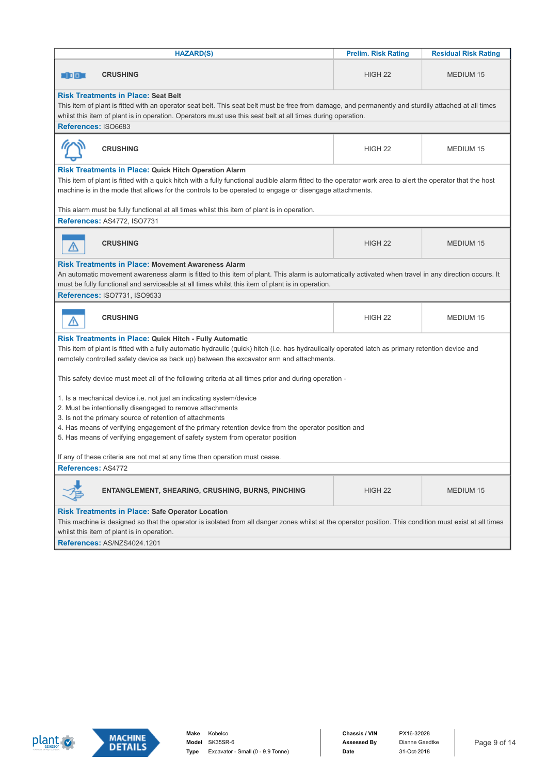| <b>HAZARD(S)</b>                                                                                                                                                                                                                                                                                                                                                                                                                                                                            | <b>Prelim. Risk Rating</b>                                                                                                                                                                                                                                          | <b>Residual Risk Rating</b> |  |  |
|---------------------------------------------------------------------------------------------------------------------------------------------------------------------------------------------------------------------------------------------------------------------------------------------------------------------------------------------------------------------------------------------------------------------------------------------------------------------------------------------|---------------------------------------------------------------------------------------------------------------------------------------------------------------------------------------------------------------------------------------------------------------------|-----------------------------|--|--|
| <b>CRUSHING</b><br>30 O O                                                                                                                                                                                                                                                                                                                                                                                                                                                                   | HIGH <sub>22</sub>                                                                                                                                                                                                                                                  | <b>MEDIUM 15</b>            |  |  |
| <b>Risk Treatments in Place: Seat Belt</b><br>References: ISO6683                                                                                                                                                                                                                                                                                                                                                                                                                           | This item of plant is fitted with an operator seat belt. This seat belt must be free from damage, and permanently and sturdily attached at all times<br>whilst this item of plant is in operation. Operators must use this seat belt at all times during operation. |                             |  |  |
| <b>CRUSHING</b>                                                                                                                                                                                                                                                                                                                                                                                                                                                                             | HIGH <sub>22</sub>                                                                                                                                                                                                                                                  | <b>MEDIUM 15</b>            |  |  |
| <b>Risk Treatments in Place: Quick Hitch Operation Alarm</b><br>This item of plant is fitted with a quick hitch with a fully functional audible alarm fitted to the operator work area to alert the operator that the host<br>machine is in the mode that allows for the controls to be operated to engage or disengage attachments.                                                                                                                                                        |                                                                                                                                                                                                                                                                     |                             |  |  |
| This alarm must be fully functional at all times whilst this item of plant is in operation.<br>References: AS4772, ISO7731                                                                                                                                                                                                                                                                                                                                                                  |                                                                                                                                                                                                                                                                     |                             |  |  |
| <b>CRUSHING</b>                                                                                                                                                                                                                                                                                                                                                                                                                                                                             | HIGH <sub>22</sub>                                                                                                                                                                                                                                                  | <b>MEDIUM 15</b>            |  |  |
| <b>Risk Treatments in Place: Movement Awareness Alarm</b><br>An automatic movement awareness alarm is fitted to this item of plant. This alarm is automatically activated when travel in any direction occurs. It<br>must be fully functional and serviceable at all times whilst this item of plant is in operation.<br><b>References: ISO7731. ISO9533</b>                                                                                                                                |                                                                                                                                                                                                                                                                     |                             |  |  |
| <b>CRUSHING</b>                                                                                                                                                                                                                                                                                                                                                                                                                                                                             | HIGH <sub>22</sub>                                                                                                                                                                                                                                                  | <b>MEDIUM 15</b>            |  |  |
| <b>Risk Treatments in Place: Quick Hitch - Fully Automatic</b><br>This item of plant is fitted with a fully automatic hydraulic (quick) hitch (i.e. has hydraulically operated latch as primary retention device and<br>remotely controlled safety device as back up) between the excavator arm and attachments.                                                                                                                                                                            |                                                                                                                                                                                                                                                                     |                             |  |  |
| This safety device must meet all of the following criteria at all times prior and during operation -<br>1. Is a mechanical device i.e. not just an indicating system/device<br>2. Must be intentionally disengaged to remove attachments<br>3. Is not the primary source of retention of attachments<br>4. Has means of verifying engagement of the primary retention device from the operator position and<br>5. Has means of verifying engagement of safety system from operator position |                                                                                                                                                                                                                                                                     |                             |  |  |
| If any of these criteria are not met at any time then operation must cease                                                                                                                                                                                                                                                                                                                                                                                                                  |                                                                                                                                                                                                                                                                     |                             |  |  |
| References: AS4772                                                                                                                                                                                                                                                                                                                                                                                                                                                                          |                                                                                                                                                                                                                                                                     |                             |  |  |
| ENTANGLEMENT, SHEARING, CRUSHING, BURNS, PINCHING                                                                                                                                                                                                                                                                                                                                                                                                                                           | HIGH <sub>22</sub>                                                                                                                                                                                                                                                  | MEDIUM 15                   |  |  |
| <b>Risk Treatments in Place: Safe Operator Location</b><br>This machine is designed so that the operator is isolated from all danger zones whilst at the operator position. This condition must exist at all times<br>whilst this item of plant is in operation.                                                                                                                                                                                                                            |                                                                                                                                                                                                                                                                     |                             |  |  |
| References: AS/NZS4024.1201                                                                                                                                                                                                                                                                                                                                                                                                                                                                 |                                                                                                                                                                                                                                                                     |                             |  |  |



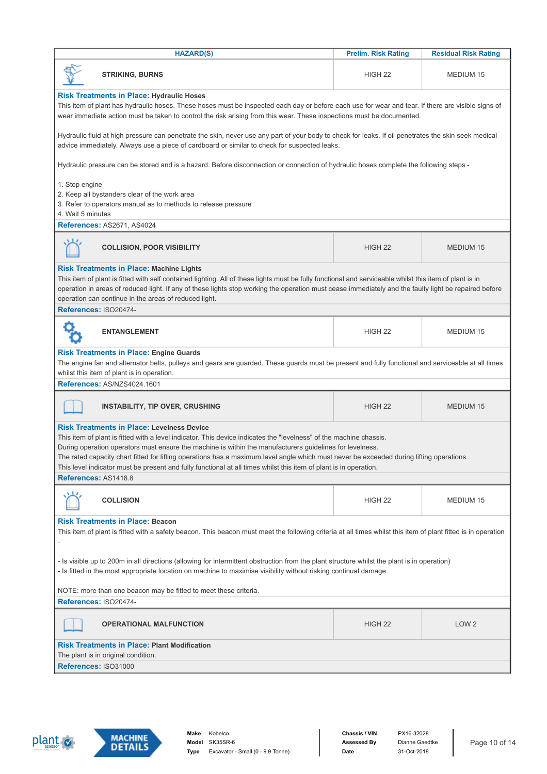| <b>HAZARD(S)</b>                                                                                                                                                                                                                                                                                                                                                                                                                                                                                                                                                             | <b>Prelim. Risk Rating</b> | <b>Residual Risk Rating</b> |  |
|------------------------------------------------------------------------------------------------------------------------------------------------------------------------------------------------------------------------------------------------------------------------------------------------------------------------------------------------------------------------------------------------------------------------------------------------------------------------------------------------------------------------------------------------------------------------------|----------------------------|-----------------------------|--|
| <b>STRIKING, BURNS</b>                                                                                                                                                                                                                                                                                                                                                                                                                                                                                                                                                       | HIGH <sub>22</sub>         | MEDIUM 15                   |  |
| <b>Risk Treatments in Place: Hydraulic Hoses</b><br>This item of plant has hydraulic hoses. These hoses must be inspected each day or before each use for wear and tear. If there are visible signs of<br>wear immediate action must be taken to control the risk arising from this wear. These inspections must be documented.                                                                                                                                                                                                                                              |                            |                             |  |
| Hydraulic fluid at high pressure can penetrate the skin, never use any part of your body to check for leaks. If oil penetrates the skin seek medical<br>advice immediately. Always use a piece of cardboard or similar to check for suspected leaks.                                                                                                                                                                                                                                                                                                                         |                            |                             |  |
| Hydraulic pressure can be stored and is a hazard. Before disconnection or connection of hydraulic hoses complete the following steps -                                                                                                                                                                                                                                                                                                                                                                                                                                       |                            |                             |  |
| 1. Stop engine<br>2. Keep all bystanders clear of the work area<br>3. Refer to operators manual as to methods to release pressure<br>4. Wait 5 minutes                                                                                                                                                                                                                                                                                                                                                                                                                       |                            |                             |  |
| References: AS2671, AS4024                                                                                                                                                                                                                                                                                                                                                                                                                                                                                                                                                   |                            |                             |  |
| <b>COLLISION, POOR VISIBILITY</b>                                                                                                                                                                                                                                                                                                                                                                                                                                                                                                                                            | HIGH <sub>22</sub>         | <b>MEDIUM 15</b>            |  |
| <b>Risk Treatments in Place: Machine Lights</b><br>This item of plant is fitted with self contained lighting. All of these lights must be fully functional and serviceable whilst this item of plant is in<br>operation in areas of reduced light. If any of these lights stop working the operation must cease immediately and the faulty light be repaired before<br>operation can continue in the areas of reduced light.                                                                                                                                                 |                            |                             |  |
| References: ISO20474-                                                                                                                                                                                                                                                                                                                                                                                                                                                                                                                                                        |                            |                             |  |
| <b>ENTANGLEMENT</b>                                                                                                                                                                                                                                                                                                                                                                                                                                                                                                                                                          | HIGH <sub>22</sub>         | MEDIUM 15                   |  |
| <b>Risk Treatments in Place: Engine Guards</b><br>The engine fan and alternator belts, pulleys and gears are guarded. These guards must be present and fully functional and serviceable at all times<br>whilst this item of plant is in operation.                                                                                                                                                                                                                                                                                                                           |                            |                             |  |
| References: AS/NZS4024.1601                                                                                                                                                                                                                                                                                                                                                                                                                                                                                                                                                  |                            |                             |  |
| <b>INSTABILITY, TIP OVER, CRUSHING</b>                                                                                                                                                                                                                                                                                                                                                                                                                                                                                                                                       | HIGH <sub>22</sub>         | <b>MEDIUM 15</b>            |  |
| <b>Risk Treatments in Place: Levelness Device</b><br>This item of plant is fitted with a level indicator. This device indicates the "levelness" of the machine chassis.<br>During operation operators must ensure the machine is within the manufacturers guidelines for levelness.<br>The rated capacity chart fitted for lifting operations has a maximum level angle which must never be exceeded during lifting operations.<br>This level indicator must be present and fully functional at all times whilst this item of plant is in operation.<br>References: AS1418.8 |                            |                             |  |
|                                                                                                                                                                                                                                                                                                                                                                                                                                                                                                                                                                              |                            |                             |  |
| <b>COLLISION</b>                                                                                                                                                                                                                                                                                                                                                                                                                                                                                                                                                             | HIGH <sub>22</sub>         | MEDIUM 15                   |  |
| <b>Risk Treatments in Place: Beacon</b><br>This item of plant is fitted with a safety beacon. This beacon must meet the following criteria at all times whilst this item of plant fitted is in operation                                                                                                                                                                                                                                                                                                                                                                     |                            |                             |  |
| - Is visible up to 200m in all directions (allowing for intermittent obstruction from the plant structure whilst the plant is in operation)<br>- Is fitted in the most appropriate location on machine to maximise visibility without risking continual damage                                                                                                                                                                                                                                                                                                               |                            |                             |  |
| NOTE: more than one beacon may be fitted to meet these criteria.<br>References: ISO20474-                                                                                                                                                                                                                                                                                                                                                                                                                                                                                    |                            |                             |  |
|                                                                                                                                                                                                                                                                                                                                                                                                                                                                                                                                                                              |                            |                             |  |
| <b>OPERATIONAL MALFUNCTION</b>                                                                                                                                                                                                                                                                                                                                                                                                                                                                                                                                               | HIGH <sub>22</sub>         | LOW <sub>2</sub>            |  |
| <b>Risk Treatments in Place: Plant Modification</b>                                                                                                                                                                                                                                                                                                                                                                                                                                                                                                                          |                            |                             |  |
| The plant is in original condition.                                                                                                                                                                                                                                                                                                                                                                                                                                                                                                                                          |                            |                             |  |
| References: ISO31000                                                                                                                                                                                                                                                                                                                                                                                                                                                                                                                                                         |                            |                             |  |



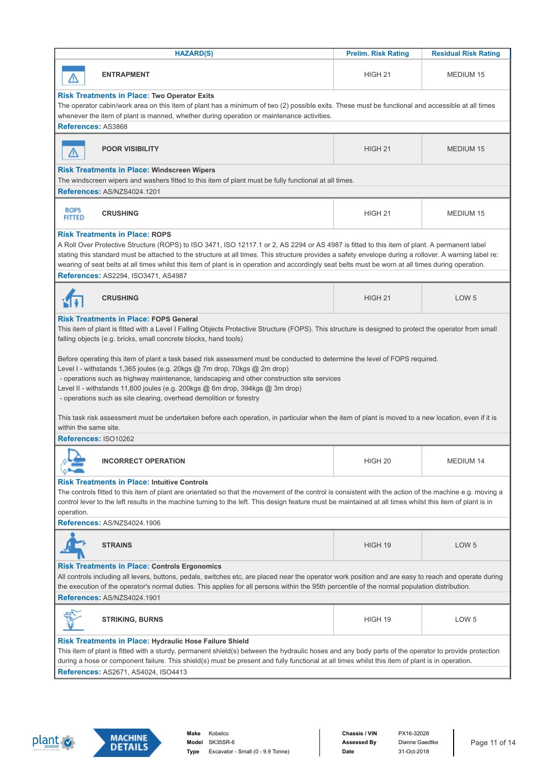| <b>HAZARD(S)</b>                                                                                                                                                                                                                                                                                                                                                                                                                                                                                                                                                                                                                                                                                                                                                                                                                                                            | <b>Prelim. Risk Rating</b> | <b>Residual Risk Rating</b> |  |  |
|-----------------------------------------------------------------------------------------------------------------------------------------------------------------------------------------------------------------------------------------------------------------------------------------------------------------------------------------------------------------------------------------------------------------------------------------------------------------------------------------------------------------------------------------------------------------------------------------------------------------------------------------------------------------------------------------------------------------------------------------------------------------------------------------------------------------------------------------------------------------------------|----------------------------|-----------------------------|--|--|
| <b>ENTRAPMENT</b>                                                                                                                                                                                                                                                                                                                                                                                                                                                                                                                                                                                                                                                                                                                                                                                                                                                           | HIGH 21                    | <b>MEDIUM 15</b>            |  |  |
| <b>Risk Treatments in Place: Two Operator Exits</b><br>The operator cabin/work area on this item of plant has a minimum of two (2) possible exits. These must be functional and accessible at all times<br>whenever the item of plant is manned, whether during operation or maintenance activities.                                                                                                                                                                                                                                                                                                                                                                                                                                                                                                                                                                        |                            |                             |  |  |
| References: AS3868                                                                                                                                                                                                                                                                                                                                                                                                                                                                                                                                                                                                                                                                                                                                                                                                                                                          |                            |                             |  |  |
| <b>POOR VISIBILITY</b>                                                                                                                                                                                                                                                                                                                                                                                                                                                                                                                                                                                                                                                                                                                                                                                                                                                      | HIGH <sub>21</sub>         | <b>MEDIUM 15</b>            |  |  |
| <b>Risk Treatments in Place: Windscreen Wipers</b><br>The windscreen wipers and washers fitted to this item of plant must be fully functional at all times.<br>References: AS/NZS4024.1201                                                                                                                                                                                                                                                                                                                                                                                                                                                                                                                                                                                                                                                                                  |                            |                             |  |  |
|                                                                                                                                                                                                                                                                                                                                                                                                                                                                                                                                                                                                                                                                                                                                                                                                                                                                             |                            |                             |  |  |
| <b>ROPS</b><br><b>CRUSHING</b><br><b>FITTED</b>                                                                                                                                                                                                                                                                                                                                                                                                                                                                                                                                                                                                                                                                                                                                                                                                                             | HIGH <sub>21</sub>         | <b>MEDIUM 15</b>            |  |  |
| <b>Risk Treatments in Place: ROPS</b><br>A Roll Over Protective Structure (ROPS) to ISO 3471, ISO 12117.1 or 2, AS 2294 or AS 4987 is fitted to this item of plant. A permanent label<br>stating this standard must be attached to the structure at all times. This structure provides a safety envelope during a rollover. A warning label re:<br>wearing of seat belts at all times whilst this item of plant is in operation and accordingly seat belts must be worn at all times during operation.<br>References: AS2294, ISO3471, AS4987                                                                                                                                                                                                                                                                                                                               |                            |                             |  |  |
| <b>CRUSHING</b>                                                                                                                                                                                                                                                                                                                                                                                                                                                                                                                                                                                                                                                                                                                                                                                                                                                             | HIGH <sub>21</sub>         | LOW <sub>5</sub>            |  |  |
| This item of plant is fitted with a Level I Falling Objects Protective Structure (FOPS). This structure is designed to protect the operator from small<br>falling objects (e.g. bricks, small concrete blocks, hand tools)<br>Before operating this item of plant a task based risk assessment must be conducted to determine the level of FOPS required.<br>Level I - withstands 1,365 joules (e.g. 20kgs @ 7m drop, 70kgs @ 2m drop)<br>- operations such as highway maintenance, landscaping and other construction site services<br>Level II - withstands 11,600 joules (e.g. 200kgs @ 6m drop, 394kgs @ 3m drop)<br>- operations such as site clearing, overhead demolition or forestry<br>This task risk assessment must be undertaken before each operation, in particular when the item of plant is moved to a new location, even if it is<br>within the same site. |                            |                             |  |  |
| References: ISO10262                                                                                                                                                                                                                                                                                                                                                                                                                                                                                                                                                                                                                                                                                                                                                                                                                                                        |                            |                             |  |  |
| <b>INCORRECT OPERATION</b>                                                                                                                                                                                                                                                                                                                                                                                                                                                                                                                                                                                                                                                                                                                                                                                                                                                  | HIGH <sub>20</sub>         | MEDIUM 14                   |  |  |
| <b>Risk Treatments in Place: Intuitive Controls</b><br>The controls fitted to this item of plant are orientated so that the movement of the control is consistent with the action of the machine e.g. moving a<br>control lever to the left results in the machine turning to the left. This design feature must be maintained at all times whilst this item of plant is in<br>operation.                                                                                                                                                                                                                                                                                                                                                                                                                                                                                   |                            |                             |  |  |
| References: AS/NZS4024.1906                                                                                                                                                                                                                                                                                                                                                                                                                                                                                                                                                                                                                                                                                                                                                                                                                                                 |                            |                             |  |  |
| <b>STRAINS</b>                                                                                                                                                                                                                                                                                                                                                                                                                                                                                                                                                                                                                                                                                                                                                                                                                                                              | HIGH 19                    | LOW <sub>5</sub>            |  |  |
| <b>Risk Treatments in Place: Controls Ergonomics</b><br>All controls including all levers, buttons, pedals, switches etc, are placed near the operator work position and are easy to reach and operate during<br>the execution of the operator's normal duties. This applies for all persons within the 95th percentile of the normal population distribution.                                                                                                                                                                                                                                                                                                                                                                                                                                                                                                              |                            |                             |  |  |
| References: AS/NZS4024.1901                                                                                                                                                                                                                                                                                                                                                                                                                                                                                                                                                                                                                                                                                                                                                                                                                                                 |                            |                             |  |  |
| <b>STRIKING, BURNS</b>                                                                                                                                                                                                                                                                                                                                                                                                                                                                                                                                                                                                                                                                                                                                                                                                                                                      | HIGH 19                    | LOW <sub>5</sub>            |  |  |
| <b>Risk Treatments in Place: Hydraulic Hose Failure Shield</b><br>This item of plant is fitted with a sturdy, permanent shield(s) between the hydraulic hoses and any body parts of the operator to provide protection<br>during a hose or component failure. This shield(s) must be present and fully functional at all times whilst this item of plant is in operation.<br>References: AS2671, AS4024, ISO4413                                                                                                                                                                                                                                                                                                                                                                                                                                                            |                            |                             |  |  |



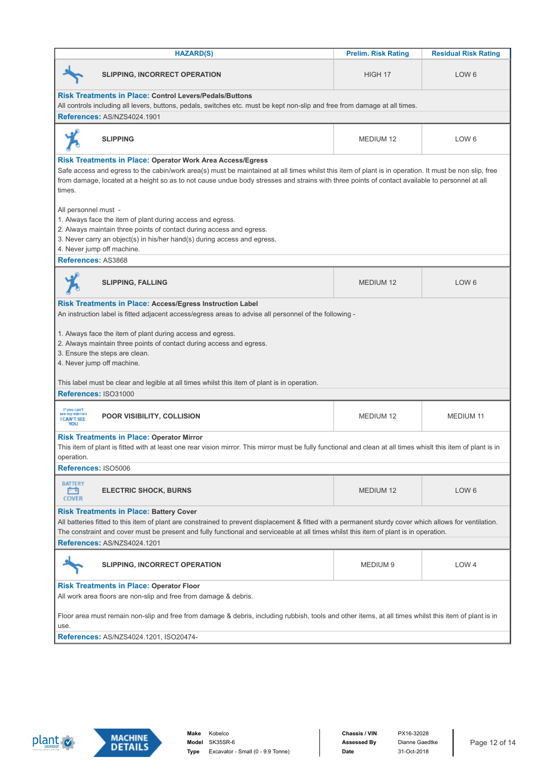|                                                                                                                                                               | <b>HAZARD(S)</b>                                                                                                                                                                                                           | <b>Prelim. Risk Rating</b> | <b>Residual Risk Rating</b> |
|---------------------------------------------------------------------------------------------------------------------------------------------------------------|----------------------------------------------------------------------------------------------------------------------------------------------------------------------------------------------------------------------------|----------------------------|-----------------------------|
|                                                                                                                                                               | <b>SLIPPING, INCORRECT OPERATION</b>                                                                                                                                                                                       | HIGH 17                    | LOW <sub>6</sub>            |
|                                                                                                                                                               | <b>Risk Treatments in Place: Control Levers/Pedals/Buttons</b>                                                                                                                                                             |                            |                             |
|                                                                                                                                                               | All controls including all levers, buttons, pedals, switches etc. must be kept non-slip and free from damage at all times.                                                                                                 |                            |                             |
| References: AS/NZS4024.1901                                                                                                                                   |                                                                                                                                                                                                                            |                            |                             |
| <b>SLIPPING</b>                                                                                                                                               |                                                                                                                                                                                                                            | <b>MEDIUM 12</b>           | LOW <sub>6</sub>            |
|                                                                                                                                                               | <b>Risk Treatments in Place: Operator Work Area Access/Egress</b><br>Safe access and egress to the cabin/work area(s) must be maintained at all times whilst this item of plant is in operation. It must be non slip, free |                            |                             |
| times.                                                                                                                                                        | from damage, located at a height so as to not cause undue body stresses and strains with three points of contact available to personnel at all                                                                             |                            |                             |
| All personnel must -                                                                                                                                          |                                                                                                                                                                                                                            |                            |                             |
| 1. Always face the item of plant during access and egress.                                                                                                    |                                                                                                                                                                                                                            |                            |                             |
|                                                                                                                                                               | 2. Always maintain three points of contact during access and egress.                                                                                                                                                       |                            |                             |
| 4. Never jump off machine.                                                                                                                                    | 3. Never carry an object(s) in his/her hand(s) during access and egress.                                                                                                                                                   |                            |                             |
| References: AS3868                                                                                                                                            |                                                                                                                                                                                                                            |                            |                             |
|                                                                                                                                                               |                                                                                                                                                                                                                            |                            |                             |
| <b>SLIPPING, FALLING</b>                                                                                                                                      |                                                                                                                                                                                                                            | <b>MEDIUM 12</b>           | LOW <sub>6</sub>            |
|                                                                                                                                                               | Risk Treatments in Place: Access/Egress Instruction Label                                                                                                                                                                  |                            |                             |
|                                                                                                                                                               | An instruction label is fitted adjacent access/egress areas to advise all personnel of the following -                                                                                                                     |                            |                             |
| 1. Always face the item of plant during access and egress.                                                                                                    |                                                                                                                                                                                                                            |                            |                             |
|                                                                                                                                                               | 2. Always maintain three points of contact during access and egress.                                                                                                                                                       |                            |                             |
| 3. Ensure the steps are clean.                                                                                                                                |                                                                                                                                                                                                                            |                            |                             |
| 4. Never jump off machine.                                                                                                                                    |                                                                                                                                                                                                                            |                            |                             |
|                                                                                                                                                               |                                                                                                                                                                                                                            |                            |                             |
|                                                                                                                                                               | This label must be clear and legible at all times whilst this item of plant is in operation.                                                                                                                               |                            |                             |
| References: ISO31000                                                                                                                                          |                                                                                                                                                                                                                            |                            |                             |
| If you can't<br>see my minrons<br><b>I CAN'T SEE</b><br><b>VIDU</b>                                                                                           | POOR VISIBILITY, COLLISION                                                                                                                                                                                                 | <b>MEDIUM 12</b>           | <b>MEDIUM 11</b>            |
| <b>Risk Treatments in Place: Operator Mirror</b>                                                                                                              |                                                                                                                                                                                                                            |                            |                             |
|                                                                                                                                                               | This item of plant is fitted with at least one rear vision mirror. This mirror must be fully functional and clean at all times whislt this item of plant is in                                                             |                            |                             |
| operation.                                                                                                                                                    |                                                                                                                                                                                                                            |                            |                             |
| References: ISO5006                                                                                                                                           |                                                                                                                                                                                                                            |                            |                             |
| <b>BATTERY</b><br>印<br><b>ELECTRIC SHOCK, BURNS</b><br><b>COVER</b>                                                                                           |                                                                                                                                                                                                                            | <b>MEDIUM 12</b>           | LOW <sub>6</sub>            |
| <b>Risk Treatments in Place: Battery Cover</b>                                                                                                                |                                                                                                                                                                                                                            |                            |                             |
|                                                                                                                                                               | All batteries fitted to this item of plant are constrained to prevent displacement & fitted with a permanent sturdy cover which allows for ventilation.                                                                    |                            |                             |
| The constraint and cover must be present and fully functional and serviceable at all times whilst this item of plant is in operation.                         |                                                                                                                                                                                                                            |                            |                             |
| References: AS/NZS4024.1201                                                                                                                                   |                                                                                                                                                                                                                            |                            |                             |
|                                                                                                                                                               | <b>SLIPPING, INCORRECT OPERATION</b>                                                                                                                                                                                       | MEDIUM <sub>9</sub>        | LOW <sub>4</sub>            |
| <b>Risk Treatments in Place: Operator Floor</b><br>All work area floors are non-slip and free from damage & debris.                                           |                                                                                                                                                                                                                            |                            |                             |
| Floor area must remain non-slip and free from damage & debris, including rubbish, tools and other items, at all times whilst this item of plant is in<br>use. |                                                                                                                                                                                                                            |                            |                             |
| <b>References: AS/NZS4024.1201, ISO20474-</b>                                                                                                                 |                                                                                                                                                                                                                            |                            |                             |
|                                                                                                                                                               |                                                                                                                                                                                                                            |                            |                             |



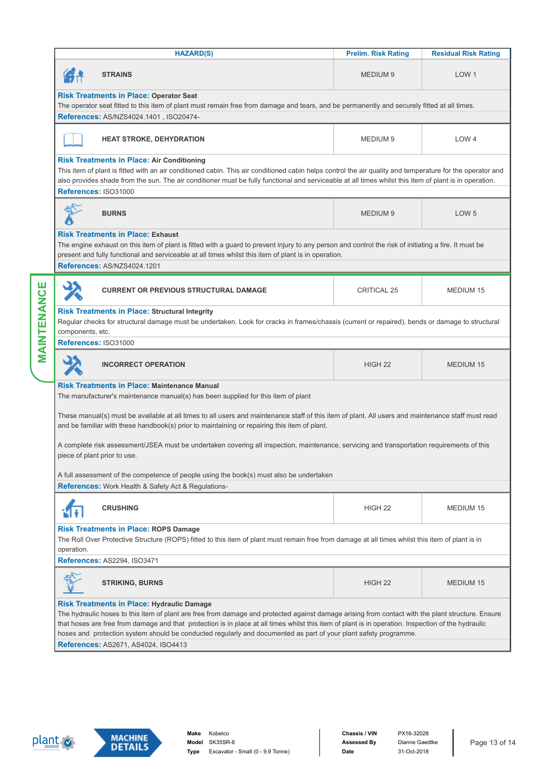|                                                                                                                                                                                                                                                                                                                                                                                                                              |                                                                                                                                                                                                                                                                                                                                                                                                                                  | <b>HAZARD(S)</b>                                                                                                                                                                      | <b>Prelim. Risk Rating</b> | <b>Residual Risk Rating</b> |
|------------------------------------------------------------------------------------------------------------------------------------------------------------------------------------------------------------------------------------------------------------------------------------------------------------------------------------------------------------------------------------------------------------------------------|----------------------------------------------------------------------------------------------------------------------------------------------------------------------------------------------------------------------------------------------------------------------------------------------------------------------------------------------------------------------------------------------------------------------------------|---------------------------------------------------------------------------------------------------------------------------------------------------------------------------------------|----------------------------|-----------------------------|
|                                                                                                                                                                                                                                                                                                                                                                                                                              |                                                                                                                                                                                                                                                                                                                                                                                                                                  | <b>STRAINS</b>                                                                                                                                                                        | <b>MEDIUM 9</b>            | LOW <sub>1</sub>            |
|                                                                                                                                                                                                                                                                                                                                                                                                                              |                                                                                                                                                                                                                                                                                                                                                                                                                                  | <b>Risk Treatments in Place: Operator Seat</b>                                                                                                                                        |                            |                             |
|                                                                                                                                                                                                                                                                                                                                                                                                                              |                                                                                                                                                                                                                                                                                                                                                                                                                                  | The operator seat fitted to this item of plant must remain free from damage and tears, and be permanently and securely fitted at all times.<br>References: AS/NZS4024.1401, ISO20474- |                            |                             |
|                                                                                                                                                                                                                                                                                                                                                                                                                              |                                                                                                                                                                                                                                                                                                                                                                                                                                  |                                                                                                                                                                                       |                            |                             |
|                                                                                                                                                                                                                                                                                                                                                                                                                              |                                                                                                                                                                                                                                                                                                                                                                                                                                  | <b>HEAT STROKE, DEHYDRATION</b>                                                                                                                                                       | MEDIUM 9                   | LOW <sub>4</sub>            |
|                                                                                                                                                                                                                                                                                                                                                                                                                              |                                                                                                                                                                                                                                                                                                                                                                                                                                  | <b>Risk Treatments in Place: Air Conditioning</b>                                                                                                                                     |                            |                             |
|                                                                                                                                                                                                                                                                                                                                                                                                                              |                                                                                                                                                                                                                                                                                                                                                                                                                                  | This item of plant is fitted with an air conditioned cabin. This air conditioned cabin helps control the air quality and temperature for the operator and                             |                            |                             |
|                                                                                                                                                                                                                                                                                                                                                                                                                              |                                                                                                                                                                                                                                                                                                                                                                                                                                  | also provides shade from the sun. The air conditioner must be fully functional and serviceable at all times whilst this item of plant is in operation.<br>References: ISO31000        |                            |                             |
|                                                                                                                                                                                                                                                                                                                                                                                                                              |                                                                                                                                                                                                                                                                                                                                                                                                                                  |                                                                                                                                                                                       |                            |                             |
|                                                                                                                                                                                                                                                                                                                                                                                                                              |                                                                                                                                                                                                                                                                                                                                                                                                                                  | <b>BURNS</b>                                                                                                                                                                          | <b>MEDIUM 9</b>            | LOW <sub>5</sub>            |
|                                                                                                                                                                                                                                                                                                                                                                                                                              |                                                                                                                                                                                                                                                                                                                                                                                                                                  | <b>Risk Treatments in Place: Exhaust</b>                                                                                                                                              |                            |                             |
|                                                                                                                                                                                                                                                                                                                                                                                                                              |                                                                                                                                                                                                                                                                                                                                                                                                                                  | The engine exhaust on this item of plant is fitted with a guard to prevent injury to any person and control the risk of initiating a fire. It must be                                 |                            |                             |
|                                                                                                                                                                                                                                                                                                                                                                                                                              |                                                                                                                                                                                                                                                                                                                                                                                                                                  | present and fully functional and serviceable at all times whilst this item of plant is in operation.<br>References: AS/NZS4024.1201                                                   |                            |                             |
|                                                                                                                                                                                                                                                                                                                                                                                                                              |                                                                                                                                                                                                                                                                                                                                                                                                                                  |                                                                                                                                                                                       |                            |                             |
| MAINTENANCE                                                                                                                                                                                                                                                                                                                                                                                                                  |                                                                                                                                                                                                                                                                                                                                                                                                                                  | <b>CURRENT OR PREVIOUS STRUCTURAL DAMAGE</b>                                                                                                                                          | <b>CRITICAL 25</b>         | MEDIUM 15                   |
|                                                                                                                                                                                                                                                                                                                                                                                                                              |                                                                                                                                                                                                                                                                                                                                                                                                                                  | <b>Risk Treatments in Place: Structural Integrity</b>                                                                                                                                 |                            |                             |
|                                                                                                                                                                                                                                                                                                                                                                                                                              |                                                                                                                                                                                                                                                                                                                                                                                                                                  | Regular checks for structural damage must be undertaken. Look for cracks in frames/chassis (current or repaired), bends or damage to structural                                       |                            |                             |
|                                                                                                                                                                                                                                                                                                                                                                                                                              | components, etc.                                                                                                                                                                                                                                                                                                                                                                                                                 |                                                                                                                                                                                       |                            |                             |
|                                                                                                                                                                                                                                                                                                                                                                                                                              |                                                                                                                                                                                                                                                                                                                                                                                                                                  | References: ISO31000                                                                                                                                                                  |                            |                             |
|                                                                                                                                                                                                                                                                                                                                                                                                                              |                                                                                                                                                                                                                                                                                                                                                                                                                                  | <b>INCORRECT OPERATION</b>                                                                                                                                                            | HIGH <sub>22</sub>         | <b>MEDIUM 15</b>            |
|                                                                                                                                                                                                                                                                                                                                                                                                                              |                                                                                                                                                                                                                                                                                                                                                                                                                                  | <b>Risk Treatments in Place: Maintenance Manual</b>                                                                                                                                   |                            |                             |
|                                                                                                                                                                                                                                                                                                                                                                                                                              |                                                                                                                                                                                                                                                                                                                                                                                                                                  | The manufacturer's maintenance manual(s) has been supplied for this item of plant                                                                                                     |                            |                             |
|                                                                                                                                                                                                                                                                                                                                                                                                                              | These manual(s) must be available at all times to all users and maintenance staff of this item of plant. All users and maintenance staff must read<br>and be familiar with these handbook(s) prior to maintaining or repairing this item of plant.<br>A complete risk assessment/JSEA must be undertaken covering all inspection, maintenance, servicing and transportation requirements of this<br>piece of plant prior to use. |                                                                                                                                                                                       |                            |                             |
|                                                                                                                                                                                                                                                                                                                                                                                                                              |                                                                                                                                                                                                                                                                                                                                                                                                                                  |                                                                                                                                                                                       |                            |                             |
|                                                                                                                                                                                                                                                                                                                                                                                                                              |                                                                                                                                                                                                                                                                                                                                                                                                                                  | A full assessment of the competence of people using the book(s) must also be undertaken                                                                                               |                            |                             |
|                                                                                                                                                                                                                                                                                                                                                                                                                              |                                                                                                                                                                                                                                                                                                                                                                                                                                  | References: Work Health & Safety Act & Regulations-                                                                                                                                   |                            |                             |
|                                                                                                                                                                                                                                                                                                                                                                                                                              |                                                                                                                                                                                                                                                                                                                                                                                                                                  |                                                                                                                                                                                       |                            |                             |
|                                                                                                                                                                                                                                                                                                                                                                                                                              |                                                                                                                                                                                                                                                                                                                                                                                                                                  | <b>CRUSHING</b>                                                                                                                                                                       | HIGH <sub>22</sub>         | MEDIUM 15                   |
|                                                                                                                                                                                                                                                                                                                                                                                                                              | <b>Risk Treatments in Place: ROPS Damage</b><br>The Roll Over Protective Structure (ROPS) fitted to this item of plant must remain free from damage at all times whilst this item of plant is in<br>operation.                                                                                                                                                                                                                   |                                                                                                                                                                                       |                            |                             |
|                                                                                                                                                                                                                                                                                                                                                                                                                              |                                                                                                                                                                                                                                                                                                                                                                                                                                  | References: AS2294, ISO3471                                                                                                                                                           |                            |                             |
|                                                                                                                                                                                                                                                                                                                                                                                                                              |                                                                                                                                                                                                                                                                                                                                                                                                                                  | <b>STRIKING, BURNS</b>                                                                                                                                                                | HIGH <sub>22</sub>         | MEDIUM 15                   |
|                                                                                                                                                                                                                                                                                                                                                                                                                              |                                                                                                                                                                                                                                                                                                                                                                                                                                  | <b>Risk Treatments in Place: Hydraulic Damage</b>                                                                                                                                     |                            |                             |
| The hydraulic hoses to this item of plant are free from damage and protected against damage arising from contact with the plant structure. Ensure<br>that hoses are free from damage and that protection is in place at all times whilst this item of plant is in operation. Inspection of the hydraulic<br>hoses and protection system should be conducted regularly and documented as part of your plant safety programme. |                                                                                                                                                                                                                                                                                                                                                                                                                                  |                                                                                                                                                                                       |                            |                             |
|                                                                                                                                                                                                                                                                                                                                                                                                                              | References: AS2671, AS4024, ISO4413                                                                                                                                                                                                                                                                                                                                                                                              |                                                                                                                                                                                       |                            |                             |



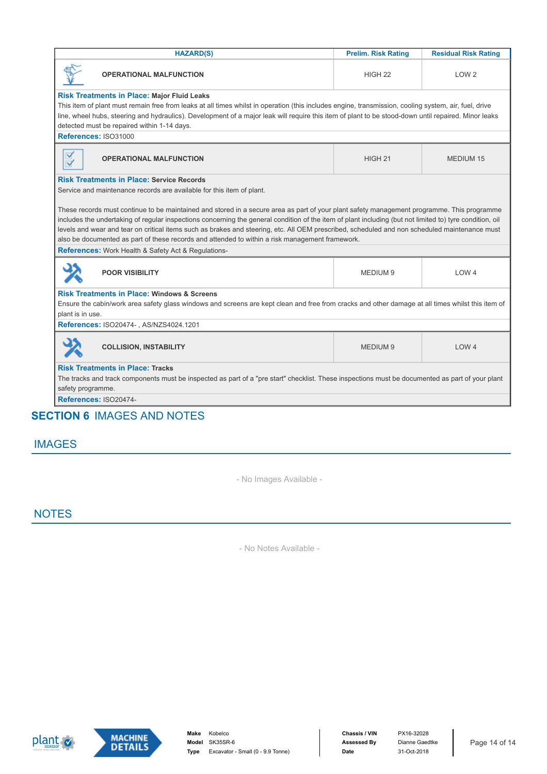| <b>HAZARD(S)</b>                                                                                                                                                                                                                                                                                                                                                                                                                                        | <b>Prelim. Risk Rating</b> | <b>Residual Risk Rating</b> |  |
|---------------------------------------------------------------------------------------------------------------------------------------------------------------------------------------------------------------------------------------------------------------------------------------------------------------------------------------------------------------------------------------------------------------------------------------------------------|----------------------------|-----------------------------|--|
| <b>OPERATIONAL MALFUNCTION</b>                                                                                                                                                                                                                                                                                                                                                                                                                          | HIGH <sub>22</sub>         | LOW <sub>2</sub>            |  |
| <b>Risk Treatments in Place: Major Fluid Leaks</b>                                                                                                                                                                                                                                                                                                                                                                                                      |                            |                             |  |
| This item of plant must remain free from leaks at all times whilst in operation (this includes engine, transmission, cooling system, air, fuel, drive                                                                                                                                                                                                                                                                                                   |                            |                             |  |
| line, wheel hubs, steering and hydraulics). Development of a major leak will require this item of plant to be stood-down until repaired. Minor leaks<br>detected must be repaired within 1-14 days.                                                                                                                                                                                                                                                     |                            |                             |  |
| References: ISO31000                                                                                                                                                                                                                                                                                                                                                                                                                                    |                            |                             |  |
| $\overline{\mathsf{v}}$<br><b>OPERATIONAL MALFUNCTION</b><br>$\blacktriangledown$                                                                                                                                                                                                                                                                                                                                                                       | HIGH <sub>21</sub>         | <b>MEDIUM 15</b>            |  |
| <b>Risk Treatments in Place: Service Records</b><br>Service and maintenance records are available for this item of plant.                                                                                                                                                                                                                                                                                                                               |                            |                             |  |
| These records must continue to be maintained and stored in a secure area as part of your plant safety management programme. This programme<br>includes the undertaking of regular inspections concerning the general condition of the item of plant including (but not limited to) tyre condition, oil<br>levels and wear and tear on critical items such as brakes and steering, etc. All OEM prescribed, scheduled and non scheduled maintenance must |                            |                             |  |
| also be documented as part of these records and attended to within a risk management framework.<br>References: Work Health & Safety Act & Regulations-                                                                                                                                                                                                                                                                                                  |                            |                             |  |
| <b>POOR VISIBILITY</b>                                                                                                                                                                                                                                                                                                                                                                                                                                  | MEDIUM <sub>9</sub>        | LOW <sub>4</sub>            |  |
| <b>Risk Treatments in Place: Windows &amp; Screens</b><br>Ensure the cabin/work area safety glass windows and screens are kept clean and free from cracks and other damage at all times whilst this item of<br>plant is in use.                                                                                                                                                                                                                         |                            |                             |  |
| References: ISO20474-, AS/NZS4024.1201                                                                                                                                                                                                                                                                                                                                                                                                                  |                            |                             |  |
| <b>COLLISION, INSTABILITY</b>                                                                                                                                                                                                                                                                                                                                                                                                                           | MEDIUM <sub>9</sub>        | LOW <sub>4</sub>            |  |
| <b>Risk Treatments in Place: Tracks</b>                                                                                                                                                                                                                                                                                                                                                                                                                 |                            |                             |  |
| The tracks and track components must be inspected as part of a "pre start" checklist. These inspections must be documented as part of your plant<br>safety programme.                                                                                                                                                                                                                                                                                   |                            |                             |  |
| References: ISO20474-                                                                                                                                                                                                                                                                                                                                                                                                                                   |                            |                             |  |
| TIAN A IMAAFRAND NATER                                                                                                                                                                                                                                                                                                                                                                                                                                  |                            |                             |  |

## **SECTION 6** IMAGES AND NOTES

#### IMAGES

- No Images Available -

#### **NOTES**

- No Notes Available -